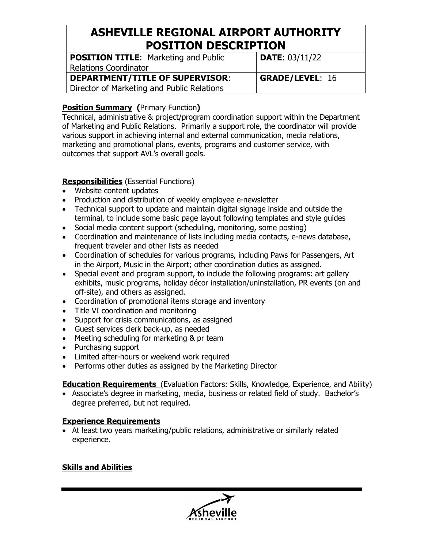# **ASHEVILLE REGIONAL AIRPORT AUTHORITY POSITION DESCRIPTION**

| <b>POSITION TITLE:</b> Marketing and Public<br>Relations Coordinator | <b>DATE: 03/11/22</b>  |
|----------------------------------------------------------------------|------------------------|
| DEPARTMENT/TITLE OF SUPERVISOR:                                      | <b>GRADE/LEVEL: 16</b> |
| Director of Marketing and Public Relations                           |                        |

### **Position Summary (**Primary Function**)**

Technical, administrative & project/program coordination support within the Department of Marketing and Public Relations. Primarily a support role, the coordinator will provide various support in achieving internal and external communication, media relations, marketing and promotional plans, events, programs and customer service, with outcomes that support AVL's overall goals.

### **Responsibilities** (Essential Functions)

- Website content updates
- Production and distribution of weekly employee e-newsletter
- Technical support to update and maintain digital signage inside and outside the terminal, to include some basic page layout following templates and style guides
- Social media content support (scheduling, monitoring, some posting)
- Coordination and maintenance of lists including media contacts, e-news database, frequent traveler and other lists as needed
- Coordination of schedules for various programs, including Paws for Passengers, Art in the Airport, Music in the Airport; other coordination duties as assigned.
- Special event and program support, to include the following programs: art gallery exhibits, music programs, holiday décor installation/uninstallation, PR events (on and off-site), and others as assigned.
- Coordination of promotional items storage and inventory
- Title VI coordination and monitoring
- Support for crisis communications, as assigned
- Guest services clerk back-up, as needed
- Meeting scheduling for marketing & pr team
- Purchasing support
- Limited after-hours or weekend work required
- Performs other duties as assigned by the Marketing Director

**Education Requirements** (Evaluation Factors: Skills, Knowledge, Experience, and Ability)

• Associate's degree in marketing, media, business or related field of study. Bachelor's degree preferred, but not required.

## **Experience Requirements**

• At least two years marketing/public relations, administrative or similarly related experience.

### **Skills and Abilities**

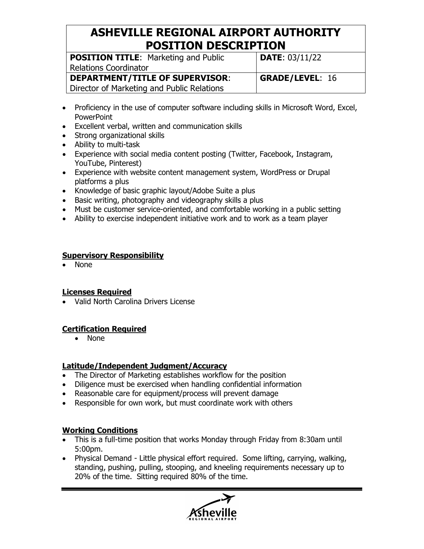# **ASHEVILLE REGIONAL AIRPORT AUTHORITY POSITION DESCRIPTION**

| <b>POSITION TITLE:</b> Marketing and Public | <b>DATE: 03/11/22</b>  |
|---------------------------------------------|------------------------|
| <b>Relations Coordinator</b>                |                        |
| <b>DEPARTMENT/TITLE OF SUPERVISOR:</b>      | <b>GRADE/LEVEL: 16</b> |
| Director of Marketing and Public Relations  |                        |

- Proficiency in the use of computer software including skills in Microsoft Word, Excel, **PowerPoint**
- Excellent verbal, written and communication skills
- Strong organizational skills
- Ability to multi-task
- Experience with social media content posting (Twitter, Facebook, Instagram, YouTube, Pinterest)
- Experience with website content management system, WordPress or Drupal platforms a plus
- Knowledge of basic graphic layout/Adobe Suite a plus
- Basic writing, photography and videography skills a plus
- Must be customer service-oriented, and comfortable working in a public setting
- Ability to exercise independent initiative work and to work as a team player

### **Supervisory Responsibility**

• None

## **Licenses Required**

• Valid North Carolina Drivers License

## **Certification Required**

• None

## **Latitude/Independent Judgment/Accuracy**

- The Director of Marketing establishes workflow for the position
- Diligence must be exercised when handling confidential information
- Reasonable care for equipment/process will prevent damage
- Responsible for own work, but must coordinate work with others

## **Working Conditions**

- This is a full-time position that works Monday through Friday from 8:30am until 5:00pm.
- Physical Demand Little physical effort required. Some lifting, carrying, walking, standing, pushing, pulling, stooping, and kneeling requirements necessary up to 20% of the time. Sitting required 80% of the time.